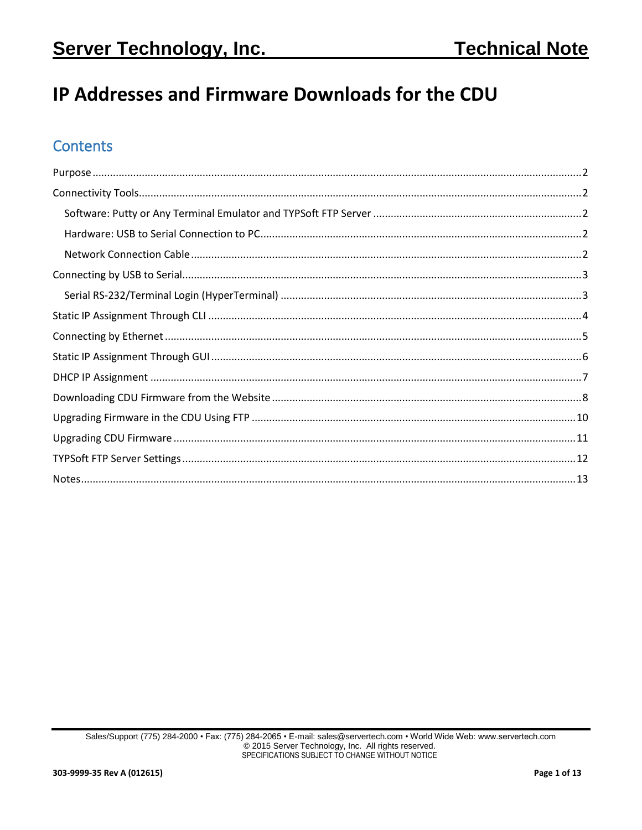# IP Addresses and Firmware Downloads for the CDU

## **Contents**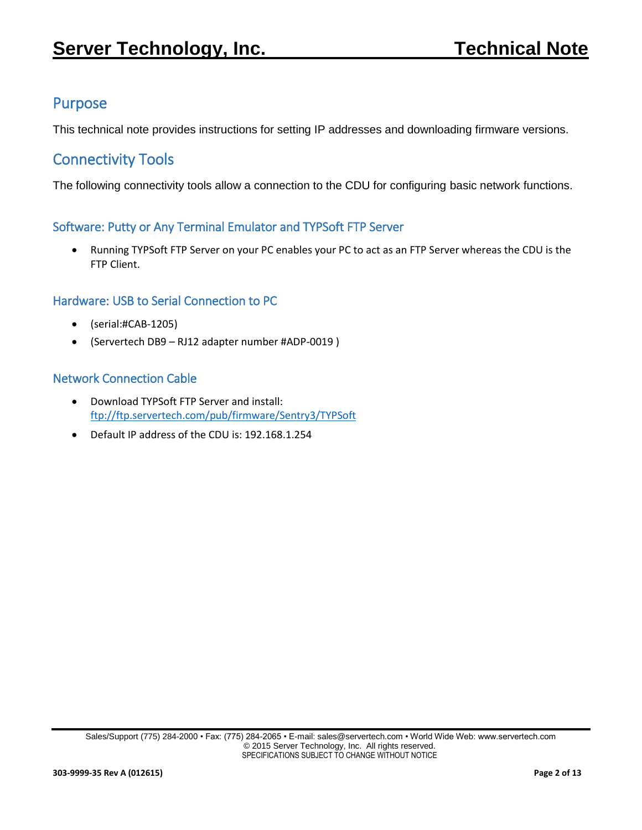## <span id="page-1-0"></span>Purpose

This technical note provides instructions for setting IP addresses and downloading firmware versions.

## <span id="page-1-1"></span>Connectivity Tools

The following connectivity tools allow a connection to the CDU for configuring basic network functions.

#### <span id="page-1-2"></span>Software: Putty or Any Terminal Emulator and TYPSoft FTP Server

 Running TYPSoft FTP Server on your PC enables your PC to act as an FTP Server whereas the CDU is the FTP Client.

#### <span id="page-1-3"></span>Hardware: USB to Serial Connection to PC

- (serial:#CAB-1205)
- (Servertech DB9 RJ12 adapter number #ADP-0019 )

#### <span id="page-1-4"></span>Network Connection Cable

- Download TYPSoft FTP Server and install: <ftp://ftp.servertech.com/pub/firmware/Sentry3/TYPSoft>
- Default IP address of the CDU is: 192.168.1.254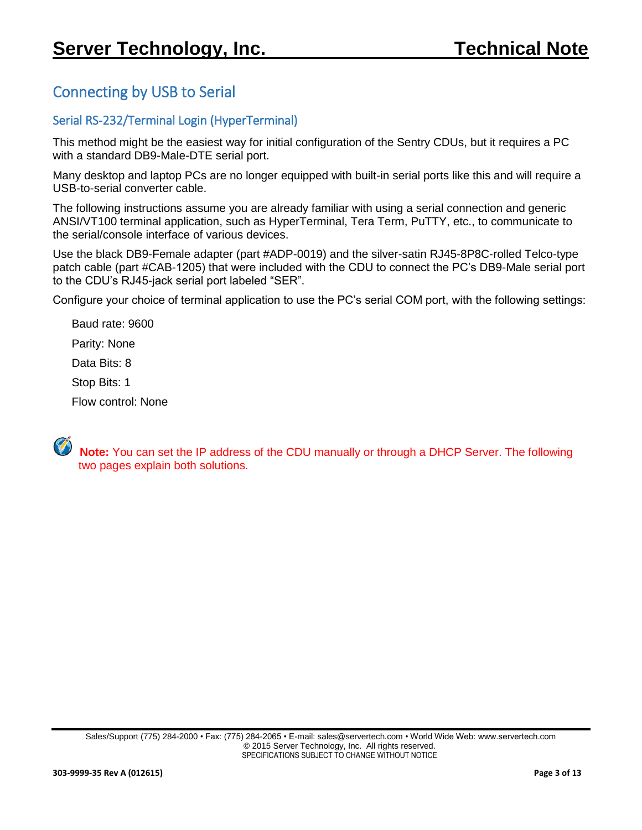# <span id="page-2-0"></span>Connecting by USB to Serial

#### <span id="page-2-1"></span>Serial RS-232/Terminal Login (HyperTerminal)

This method might be the easiest way for initial configuration of the Sentry CDUs, but it requires a PC with a standard DB9-Male-DTE serial port.

Many desktop and laptop PCs are no longer equipped with built-in serial ports like this and will require a USB-to-serial converter cable.

The following instructions assume you are already familiar with using a serial connection and generic ANSI/VT100 terminal application, such as HyperTerminal, Tera Term, PuTTY, etc., to communicate to the serial/console interface of various devices.

Use the black DB9-Female adapter (part #ADP-0019) and the silver-satin RJ45-8P8C-rolled Telco-type patch cable (part #CAB-1205) that were included with the CDU to connect the PC's DB9-Male serial port to the CDU's RJ45-jack serial port labeled "SER".

Configure your choice of terminal application to use the PC's serial COM port, with the following settings:

Baud rate: 9600

Parity: None

Data Bits: 8

Stop Bits: 1

Flow control: None

 **Note:** You can set the IP address of the CDU manually or through a DHCP Server. The following two pages explain both solutions.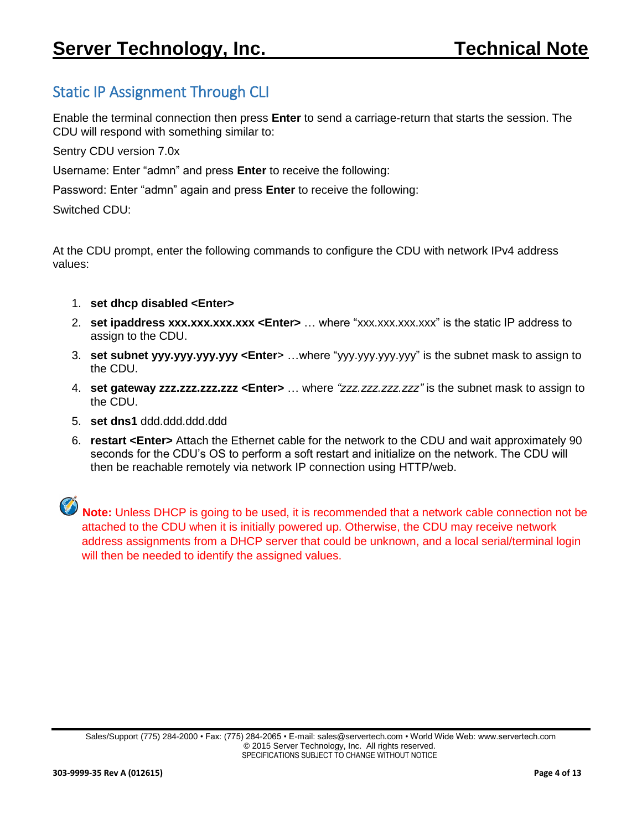# <span id="page-3-0"></span>Static IP Assignment Through CLI

Enable the terminal connection then press **Enter** to send a carriage-return that starts the session. The CDU will respond with something similar to:

Sentry CDU version 7.0x

Username: Enter "admn" and press **Enter** to receive the following:

Password: Enter "admn" again and press **Enter** to receive the following:

Switched CDU:

At the CDU prompt, enter the following commands to configure the CDU with network IPv4 address values:

- 1. **set dhcp disabled <Enter>**
- 2. **set ipaddress xxx.xxx.xxx.xxx <Enter>** … where "xxx.xxx.xxx.xxx" is the static IP address to assign to the CDU.
- 3. **set subnet yyy.yyy.yyy.yyy <Enter**> …where "yyy.yyy.yyy.yyy" is the subnet mask to assign to the CDU.
- 4. **set gateway zzz.zzz.zzz.zzz <Enter>** … where *"zzz.zzz.zzz.zzz"* is the subnet mask to assign to the CDU.
- 5. **set dns1** ddd.ddd.ddd.ddd
- 6. **restart <Enter>** Attach the Ethernet cable for the network to the CDU and wait approximately 90 seconds for the CDU's OS to perform a soft restart and initialize on the network. The CDU will then be reachable remotely via network IP connection using HTTP/web.

**Note:** Unless DHCP is going to be used, it is recommended that a network cable connection not be attached to the CDU when it is initially powered up. Otherwise, the CDU may receive network address assignments from a DHCP server that could be unknown, and a local serial/terminal login will then be needed to identify the assigned values.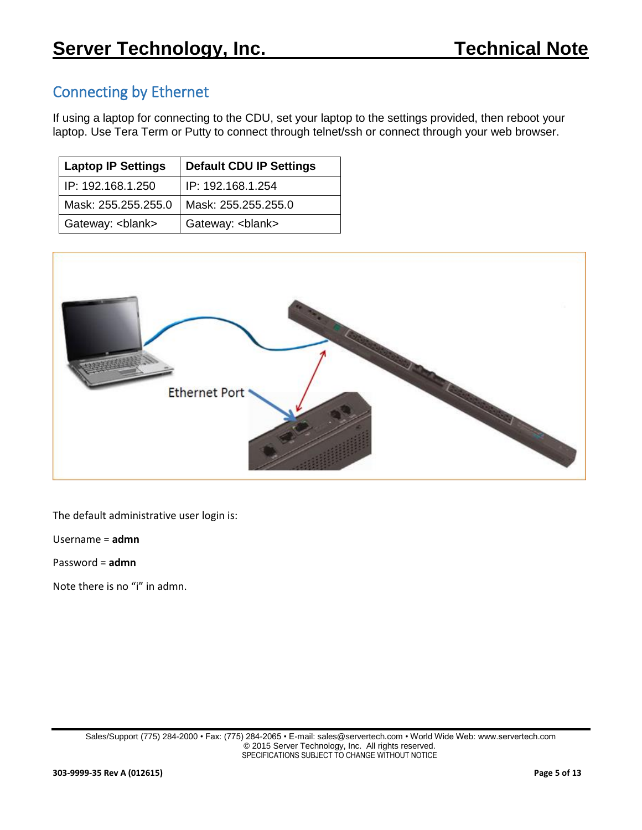## <span id="page-4-0"></span>Connecting by Ethernet

If using a laptop for connecting to the CDU, set your laptop to the settings provided, then reboot your laptop. Use Tera Term or Putty to connect through telnet/ssh or connect through your web browser.

| <b>Laptop IP Settings</b> | <b>Default CDU IP Settings</b> |
|---------------------------|--------------------------------|
| IP: 192.168.1.250         | IP: 192.168.1.254              |
| Mask: 255.255.255.0       | Mask: 255.255.255.0            |
| Gateway: <blank></blank>  | Gateway:<br>blank>             |



The default administrative user login is:

Username = **admn**

Password = **admn**

Note there is no "i" in admn.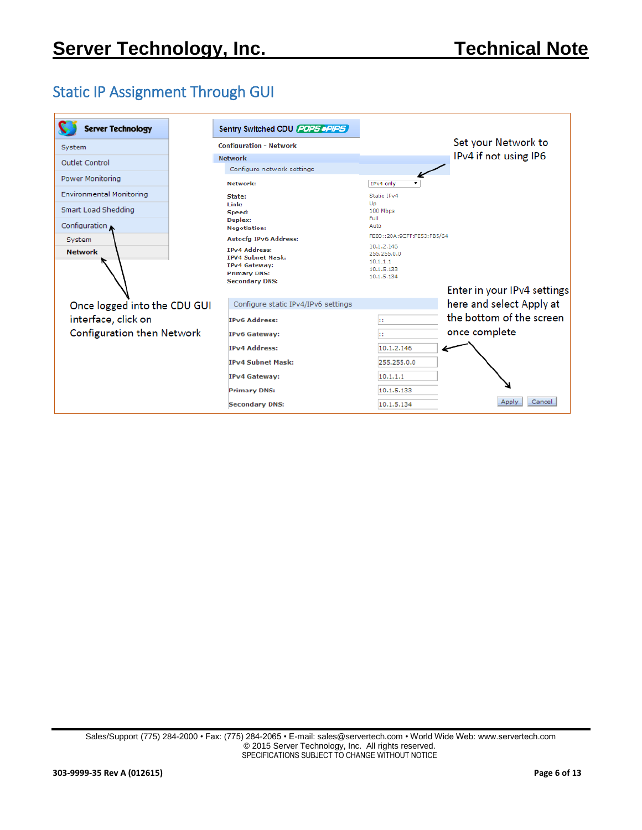# <span id="page-5-0"></span>Static IP Assignment Through GUI

| <b>Server Technology</b>          | Sentry Switched CDU (POPS DPIPS)                                                                 |                                      |
|-----------------------------------|--------------------------------------------------------------------------------------------------|--------------------------------------|
| System                            | <b>Configuration - Network</b>                                                                   | Set your Network to                  |
| <b>Outlet Control</b>             | <b>Network</b>                                                                                   | IPv4 if not using IP6                |
|                                   | Configure network settings                                                                       |                                      |
| <b>Power Monitoring</b>           | Network:                                                                                         | IPv4 only                            |
| Environmental Monitoring          | State:                                                                                           | Static IPv4                          |
| Smart Load Shedding               | Link:<br>Speed:                                                                                  | Up<br>100 Mbps                       |
|                                   | Duplex:                                                                                          | Full                                 |
| Configuration                     | <b>Negotiation:</b>                                                                              | Auto                                 |
| System                            | <b>Autocfg IPv6 Address:</b>                                                                     | FE80::20A:9CFF:FE53:FB5/64           |
| <b>Network</b>                    | <b>IPv4 Address:</b>                                                                             | 10.1.2.146<br>255,255,0,0            |
|                                   | <b>IPV4 Subnet Mask:</b><br><b>IPv4 Gateway:</b><br><b>Primary DNS:</b><br><b>Secondary DNS:</b> | 10.1.1.1<br>10.1.5.133<br>10.1.5.134 |
|                                   |                                                                                                  | Enter in your IPv4 settings          |
| Once logged into the CDU GUI      | Configure static IPv4/IPv6 settings                                                              | here and select Apply at             |
| interface, click on               | <b>IPv6 Address:</b>                                                                             | the bottom of the screen<br>Ħ        |
| <b>Configuration then Network</b> | <b>IPv6 Gateway:</b>                                                                             | once complete<br>11                  |
|                                   | <b>IPv4 Address:</b>                                                                             | 10.1.2.146                           |
|                                   | <b>IPv4 Subnet Mask:</b>                                                                         | 255.255.0.0                          |
|                                   | <b>IPv4 Gateway:</b>                                                                             | 10.1.1.1                             |
|                                   | <b>Primary DNS:</b>                                                                              | 10.1.5.133                           |
|                                   | <b>Secondary DNS:</b>                                                                            | Cancel<br>Apply<br>10.1.5.134        |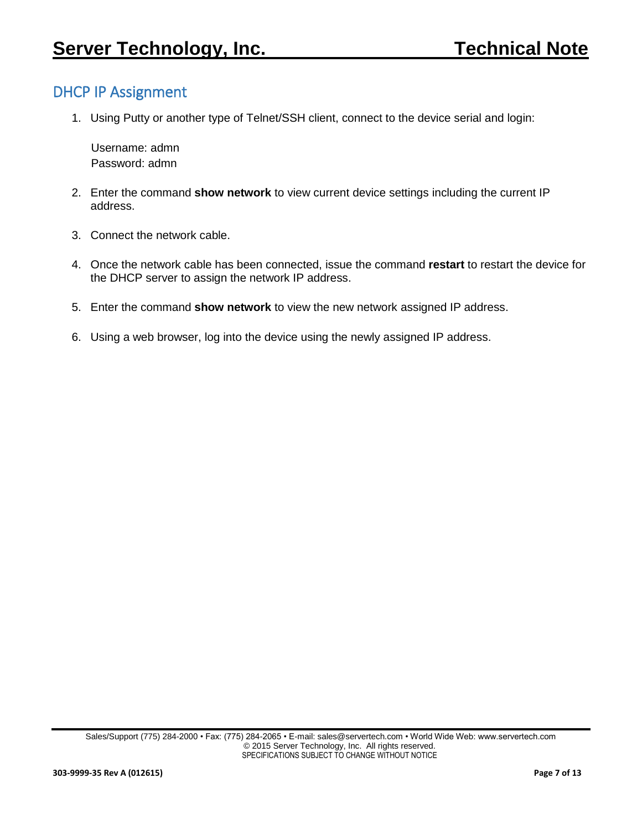## <span id="page-6-0"></span>DHCP IP Assignment

1. Using Putty or another type of Telnet/SSH client, connect to the device serial and login:

 Username: admn Password: admn

- 2. Enter the command **show network** to view current device settings including the current IP address.
- 3. Connect the network cable.
- 4. Once the network cable has been connected, issue the command **restart** to restart the device for the DHCP server to assign the network IP address.
- 5. Enter the command **show network** to view the new network assigned IP address.
- 6. Using a web browser, log into the device using the newly assigned IP address.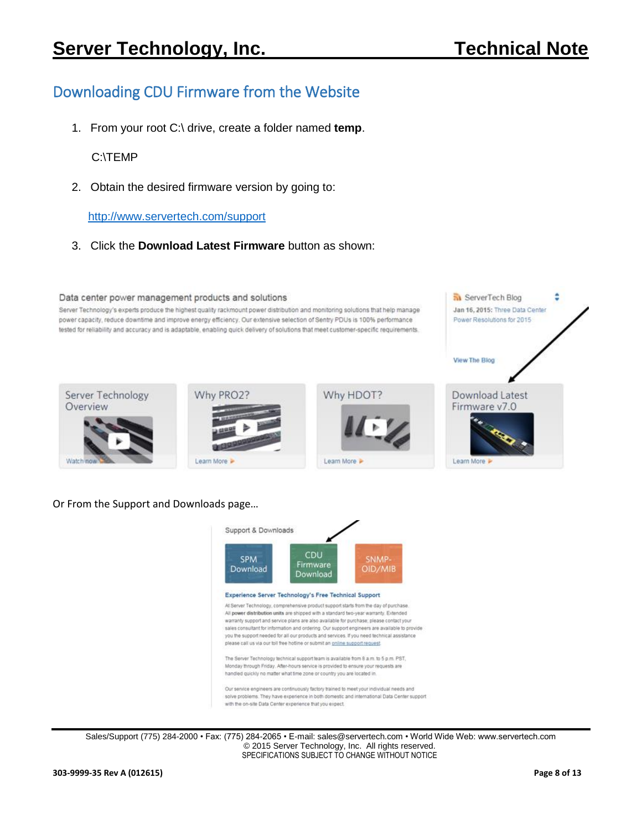**M** ServerTech Blog

Jan 16, 2015: Three Data Center Power Resolutions for 2015

٥

# <span id="page-7-0"></span>Downloading CDU Firmware from the Website

1. From your root C:\ drive, create a folder named **temp**.

C:\TEMP

2. Obtain the desired firmware version by going to:

<http://www.servertech.com/support>

3. Click the **Download Latest Firmware** button as shown:

#### Data center power management products and solutions

Server Technology's experts produce the highest quality rackmount power distribution and monitoring solutions that help manage power capacity, reduce downtime and improve energy efficiency. Our extensive selection of Sentry PDUs is 100% performance tested for reliability and accuracy and is adaptable, enabling quick delivery of solutions that meet customer-specific requirements.



#### Or From the Support and Downloads page…



warranty support and service plans are also available for purchase; please contact your sales consultant for information and ordering. Our support engineers are available to provide you the support needed for all our products and services. If you need technical assistance please call us via our toll free hotline or submit an online support request

The Server Technology technical support team is available from 8 a.m. to 5 p.m. PST, Monday through Friday. After-hours service is provided to ensure your requests are handled quickly no matter what time zone or country you are located in.

Our service engineers are continuously factory trained to meet your individual needs and solve problems. They have experience in both domestic and international Data Center support with the on-site Data Center experience that you expect.

Sales/Support (775) 284-2000 • Fax: (775) 284-2065 • E-mail: sales@servertech.com • World Wide Web: www.servertech.com © 2015 Server Technology, Inc. All rights reserved. SPECIFICATIONS SUBJECT TO CHANGE WITHOUT NOTICE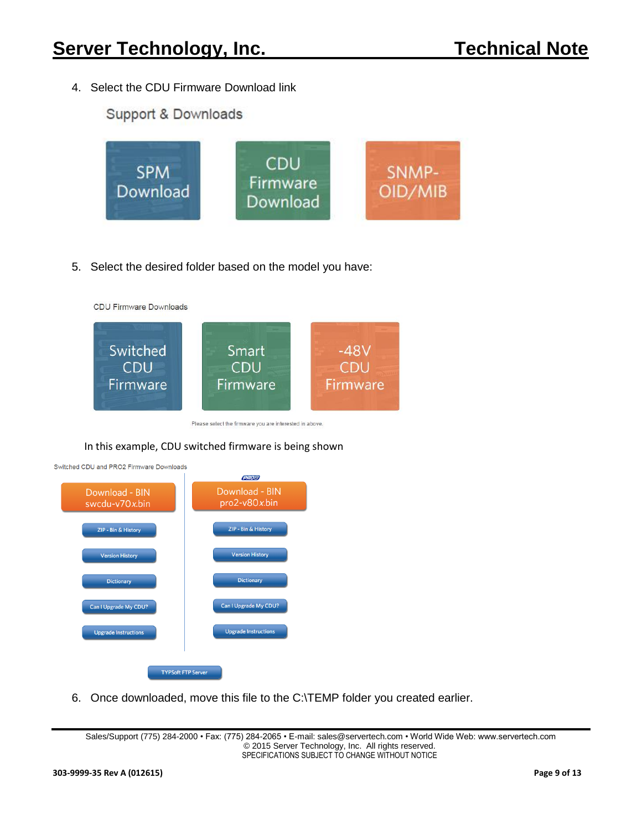4. Select the CDU Firmware Download link

### Support & Downloads



5. Select the desired folder based on the model you have:



Please select the firmware you are interested in above.

#### In this example, CDU switched firmware is being shown



6. Once downloaded, move this file to the C:\TEMP folder you created earlier.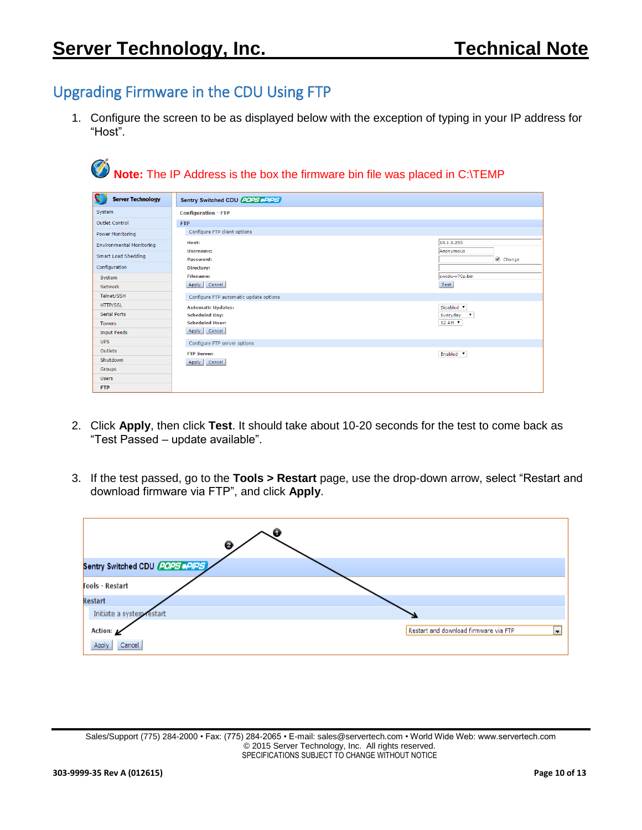## <span id="page-9-0"></span>Upgrading Firmware in the CDU Using FTP

1. Configure the screen to be as displayed below with the exception of typing in your IP address for "Host".

| <b>Server Technology</b>        | Sentry Switched CDU POPS PPIPS         |                                     |
|---------------------------------|----------------------------------------|-------------------------------------|
| System                          | <b>Configuration - FTP</b>             |                                     |
| <b>Outlet Control</b>           | <b>FTP</b>                             |                                     |
| <b>Power Monitoring</b>         | Configure FTP client options           |                                     |
| <b>Environmental Monitoring</b> | Host:                                  | 10.1.8.255                          |
| <b>Smart Load Shedding</b>      | Username:<br>Password:                 | Anonymous<br>Change                 |
| Configuration                   | Directory:                             |                                     |
| System                          | <b>Filename:</b>                       | swcdu-v70p.bin                      |
| <b>Network</b>                  | Apply<br>Cancel                        | Test                                |
| Telnet/SSH                      | Configure FTP automatic update options |                                     |
| <b>HTTP/SSL</b>                 | <b>Automatic Updates:</b>              | Disabled <b>v</b>                   |
| <b>Serial Ports</b>             | <b>Scheduled Day:</b>                  | Everyday<br>$\overline{\mathbf{v}}$ |
| <b>Towers</b>                   | <b>Scheduled Hour:</b>                 | 12 AM V                             |
| <b>Input Feeds</b>              | Apply Cancel                           |                                     |
| <b>UPS</b>                      | Configure FTP server options           |                                     |
| Outlets                         | <b>FTP Server:</b>                     | Enabled V                           |
| Shutdown                        | Apply<br>Cancel                        |                                     |
| Groups                          |                                        |                                     |
| <b>Users</b>                    |                                        |                                     |
| <b>FTP</b>                      |                                        |                                     |

- 2. Click **Apply**, then click **Test**. It should take about 10-20 seconds for the test to come back as "Test Passed – update available".
- 3. If the test passed, go to the **Tools > Restart** page, use the drop-down arrow, select "Restart and download firmware via FTP", and click **Apply**.



Sales/Support (775) 284-2000 • Fax: (775) 284-2065 • E-mail: sales@servertech.com • World Wide Web: www.servertech.com © 2015 Server Technology, Inc. All rights reserved. SPECIFICATIONS SUBJECT TO CHANGE WITHOUT NOTICE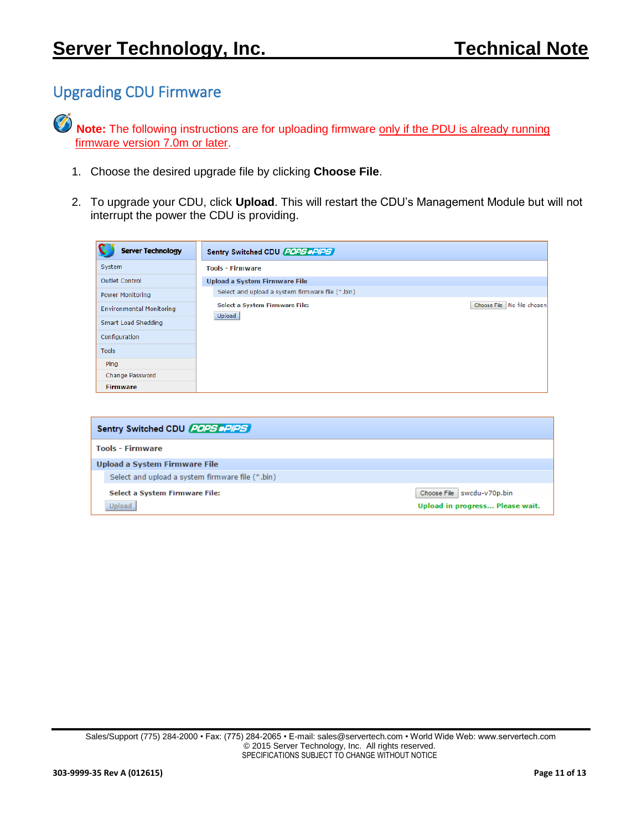# <span id="page-10-0"></span>Upgrading CDU Firmware

Ø **Note:** The following instructions are for uploading firmware only if the PDU is already running firmware version 7.0m or later.

- 1. Choose the desired upgrade file by clicking **Choose File**.
- 2. To upgrade your CDU, click **Upload**. This will restart the CDU's Management Module but will not interrupt the power the CDU is providing.

| <b>Server Technology</b>        | Sentry Switched CDU (20PS DPIPS)                                       |  |  |
|---------------------------------|------------------------------------------------------------------------|--|--|
| System                          | <b>Tools - Firmware</b>                                                |  |  |
| <b>Outlet Control</b>           | <b>Upload a System Firmware File</b>                                   |  |  |
| Power Monitoring                | Select and upload a system firmware file (*.bin)                       |  |  |
| <b>Environmental Monitoring</b> | Choose File No file chosen<br>Select a System Firmware File:<br>Upload |  |  |
| Smart Load Shedding             |                                                                        |  |  |
| Configuration                   |                                                                        |  |  |
| <b>Tools</b>                    |                                                                        |  |  |
| Ping                            |                                                                        |  |  |
| Change Password                 |                                                                        |  |  |
| <b>Firmware</b>                 |                                                                        |  |  |

| Sentry Switched CDU (20PS DPIPS)                 |                                                                 |
|--------------------------------------------------|-----------------------------------------------------------------|
| <b>Tools - Firmware</b>                          |                                                                 |
| Upload a System Firmware File                    |                                                                 |
| Select and upload a system firmware file (*.bin) |                                                                 |
| Select a System Firmware File:<br>Upload         | Choose File   swcdu-v70p.bin<br>Upload in progress Please wait. |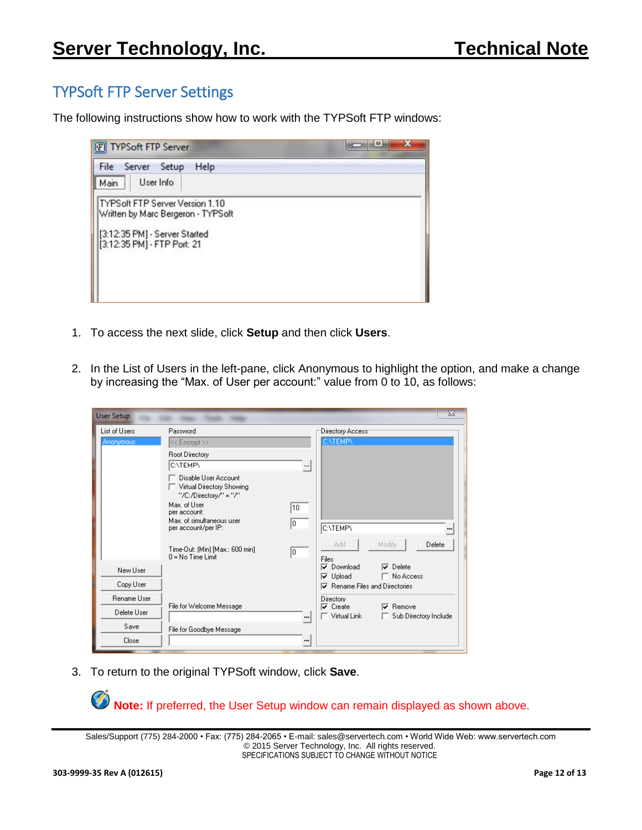# <span id="page-11-0"></span>TYPSoft FTP Server Settings

The following instructions show how to work with the TYPSoft FTP windows:

| F TYPSoft FTP Server                                                                                                                   |  |
|----------------------------------------------------------------------------------------------------------------------------------------|--|
| File<br>Help<br>Server Setup<br>User Info<br>Main                                                                                      |  |
| TYPS oft FTP Server Version 1.10<br>Written by Marc Bergeron - TYPSoft<br>[3:12:35 PM] - Server Started<br>[3:12:35 PM] - FTP Port: 21 |  |

- 1. To access the next slide, click **Setup** and then click **Users**.
- 2. In the List of Users in the left-pane, click Anonymous to highlight the option, and make a change by increasing the "Max. of User per account:" value from 0 to 10, as follows:

| <b>User Setup</b> |                                                                             |    |                                                |                       | $\Sigma$ |
|-------------------|-----------------------------------------------------------------------------|----|------------------------------------------------|-----------------------|----------|
| List of Users     | Password                                                                    |    | Directory Access <sup></sup>                   |                       |          |
| Anonymous         | << Encrypt >>                                                               |    | <b>C:VTEMPY</b>                                |                       |          |
|                   | Root Directory                                                              |    |                                                |                       |          |
|                   | <b>C:VTEMPV</b>                                                             |    |                                                |                       |          |
|                   | Disable User Account<br>Virtual Directory Showing<br>"/C:/Directory/" = "/" |    |                                                |                       |          |
|                   | Max. of User<br>per account:                                                | 10 |                                                |                       |          |
|                   | Max, of simultaneous user<br>per account/per IP:                            | l0 | <b>C:VTEMPV</b>                                |                       |          |
|                   | Time-Out: (Min) [Max.: 600 min]<br>$0 = N_0$ Time Limit                     | I٥ | Add<br>Files                                   | Modify<br>Delete      |          |
| New User          |                                                                             |    | Download<br>⊽                                  | $\nabla$ Delete       |          |
|                   |                                                                             |    | $\nabla$ Upload                                | □ No Access           |          |
| Copy User         |                                                                             |    | Rename Files and Directories<br>⊽              |                       |          |
| Rename User       | File for Welcome Message                                                    |    | Directory                                      | $\nabla$ Remove       |          |
| Delete User       |                                                                             |    | $\overline{\mathsf{v}}$ Create<br>Virtual Link | Sub Directory Include |          |
| Save              | File for Goodbye Message                                                    |    |                                                |                       |          |
| Close             |                                                                             |    |                                                |                       |          |

3. To return to the original TYPSoft window, click **Save**.

**Note:** If preferred, the User Setup window can remain displayed as shown above.

Sales/Support (775) 284-2000 • Fax: (775) 284-2065 • E-mail: sales@servertech.com • World Wide Web: www.servertech.com © 2015 Server Technology, Inc. All rights reserved. SPECIFICATIONS SUBJECT TO CHANGE WITHOUT NOTICE